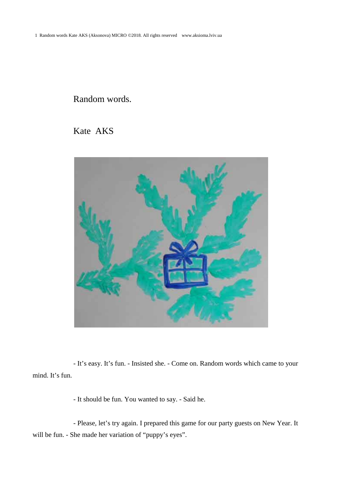## Random words.

Kate AKS



- It's easy. It's fun. - Insisted she. - Come on. Random words which came to your mind. It's fun.

- It should be fun. You wanted to say. - Said he.

- Please, let's try again. I prepared this game for our party guests on New Year. It will be fun. - She made her variation of "puppy's eyes".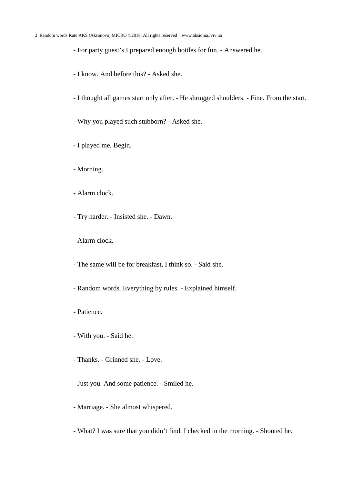## 2 Random words Kate AKS (Aksonova) MICRO ©2018. All rights reserved www.aksioma.lviv.ua

- For party guest's I prepared enough bottles for fun. - Answered he.

- I know. And before this? Asked she.
- I thought all games start only after. He shrugged shoulders. Fine. From the start.
- Why you played such stubborn? Asked she.
- I played me. Begin.
- Morning.
- Alarm clock.
- Try harder. Insisted she. Dawn.
- Alarm clock.
- The same will be for breakfast, I think so. Said she.
- Random words. Everything by rules. Explained himself.
- Patience.
- With you. Said he.
- Thanks. Grinned she. Love.
- Just you. And some patience. Smiled he.
- Marriage. She almost whispered.
- What? I was sure that you didn't find. I checked in the morning. Shouted he.